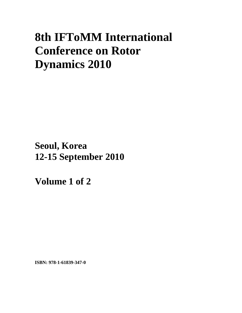# **8th IFToMM International Conference on Rotor Dynamics 2010**

**Seoul, Korea 12-15 September 2010**

**Volume 1 of 2** 

**ISBN: 978-1-61839-347-0**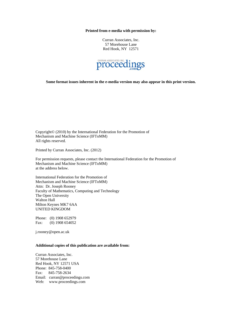#### **Printed from e-media with permission by:**

Curran Associates, Inc. 57 Morehouse Lane Red Hook, NY 12571



**Some format issues inherent in the e-media version may also appear in this print version.** 

Copyright© (2010) by the International Federation for the Promotion of Mechanism and Machine Science (IFToMM) All rights reserved.

Printed by Curran Associates, Inc. (2012)

For permission requests, please contact the International Federation for the Promotion of Mechanism and Machine Science (IFToMM) at the address below.

International Federation for the Promotion of Mechanism and Machine Science (IFToMM) Attn: Dr. Joseph Rooney Faculty of Mathematics, Computing and Technology The Open University Walton Hall Milton Keynes MK7 6AA UNITED KINGDOM

Phone: (0) 1908 652979 Fax: (0) 1908 654052

j.rooney@open.ac.uk

#### **Additional copies of this publication are available from:**

Curran Associates, Inc. 57 Morehouse Lane Red Hook, NY 12571 USA Phone: 845-758-0400 Fax: 845-758-2634 Email: curran@proceedings.com Web: www.proceedings.com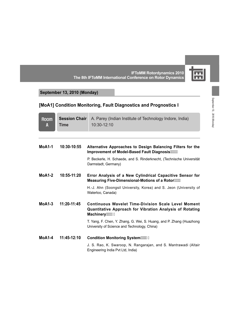團 **IFToMM Rotordynamics 2010 The 8th IFToMM International Conference on Rotor Dynamics**

# **September 13, 2010 (Monday)**

# **[MoA1] Condition Monitoring, Fault Diagnostics and Prognostics I**

| <b>Room</b><br>A | <b>Session Chair</b><br><b>Time</b> | A. Parey (Indian Institute of Technology Indore, India)<br>10:30-12:10                                                                  |
|------------------|-------------------------------------|-----------------------------------------------------------------------------------------------------------------------------------------|
| $MoA1-1$         | 10:30-10:55                         | Alternative Approaches to Design Balancing Filters for the<br>Improvement of Model-Based Fault Diagnosis  %                             |
|                  |                                     | P. Beckerle, H. Schaede, and S. Rinderknecht, (Technische Universität<br>Darmstadt, Germany)                                            |
| $MoA1-2$         | $10:55-11:20$                       | Error Analysis of a New Cylindrical Capacitive Sensor for<br>Measuring Five-Dimensional-Motions of a Rotor""-                           |
|                  |                                     | H.-J. Ahn (Soongsil University, Korea) and S. Jeon (University of<br>Waterloo, Canada)                                                  |
| $MoA1-3$         | $11:20-11:45$                       | <b>Continuous Wavelet Time-Division Scale Level Moment</b><br>Quantitative Approach for Vibration Analysis of Rotating<br>Machinery ""% |
|                  |                                     | T. Yang, F. Chen, Y. Zhang, G. Wei, S. Huang, and P. Zhang (Huazhong<br>University of Science and Technology, China)                    |
| $MoA1-4$         | 11:45-12:10                         | Condition Monitoring System  &                                                                                                          |
|                  |                                     | J. S. Rao, K. Swaroop, N. Rangarajan, and S. Mantrawadi (Altair<br>Engineering India Pvt Ltd, India)                                    |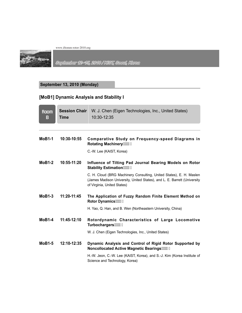

September 12~15, 2010 / KIST, Seoul, Korea

#### **September 13, 2010 (Monday)**

# **[MoB1] Dynamic Analysis and Stability I**

| <b>Room</b><br>B | <b>Session Chair</b><br><b>Time</b> | W. J. Chen (Eigen Technologies, Inc., United States)<br>10:30-12:35                                                                                                            |
|------------------|-------------------------------------|--------------------------------------------------------------------------------------------------------------------------------------------------------------------------------|
|                  |                                     |                                                                                                                                                                                |
| $MoB1-1$         | 10:30-10:55                         | Comparative Study on Frequency-speed Diagrams in<br><b>Rotating Machinery</b> *****                                                                                            |
|                  |                                     | C.-W. Lee (KAIST, Korea)                                                                                                                                                       |
| $MoB1-2$         | $10:55-11:20$                       | Influence of Tilting Pad Journal Bearing Models on Rotor<br><b>Stability Estimation """(*</b>                                                                                  |
|                  |                                     | C. H. Cloud (BRG Machinery Consulting, United States), E. H. Maslen<br>(James Madison University, United States), and L. E. Barrett (University<br>of Virginia, United States) |
| $MoB1-3$         | $11:20-11:45$                       | The Application of Fuzzy Random Finite Element Method on<br>Rotor Dynamics (1944)                                                                                              |
|                  |                                     | H. Yao, Q. Han, and B. Wen (Northeastern University, China)                                                                                                                    |
| $MoB1-4$         | 11:45-12:10                         | Rotordynamic Characteristics of Large Locomotive<br>Turbochargers""*\$                                                                                                         |
|                  |                                     | W. J. Chen (Eigen Technologies, Inc., United States)                                                                                                                           |
| $MoB1-5$         | 12:10-12:35                         | Dynamic Analysis and Control of Rigid Rotor Supported by<br>Noncollocated Active Magnetic Bearings                                                                             |
|                  |                                     | H.-W. Jeon, C.-W. Lee (KAIST, Korea), and S.-J. Kim (Korea Institute of<br>Science and Technology, Korea)                                                                      |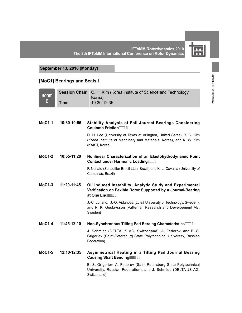

#### **September 13, 2010 (Monday)**

#### **[MoC1] Bearings and Seals I**

|                  | <b>Session Chair</b> | C. H. Kim (Korea Institute of Science and Technology,                                                                                                         |
|------------------|----------------------|---------------------------------------------------------------------------------------------------------------------------------------------------------------|
| <b>Room</b><br>C |                      | Korea)                                                                                                                                                        |
|                  | <b>Time</b>          | 10:30-12:35                                                                                                                                                   |
|                  |                      |                                                                                                                                                               |
| $MoC1-1$         | 10:30-10:55          | <b>Stability Analysis of Foil Journal Bearings Considering</b><br>Coulomb Friction                                                                            |
|                  |                      | D. H. Lee (University of Texas at Arlington, United Sates), Y. C. Kim<br>(Korea Institute of Machinery and Materials, Korea), and K. W. Kim<br>(KAIST, Korea) |
| $MoC1-2$         | 10:55-11:20          | Nonlinear Characterization of an Elastohydrodynamic Point<br>Contact under Harmonic Loading"", %                                                              |
|                  |                      | F. Nonato (Schaeffler Brasil Ltda, Brazil) and K. L. Cavalca (University of<br>Campinas, Brazil)                                                              |
| $MoC1-3$         | 11:20-11:45          | Oil Induced Instability: Analytic Study and Experimental<br>Verification on Fexible Rotor Supported by a Journal-Bearing<br>at One End""; +                   |
|                  |                      | J.-C. Luneno, J.-O. Aidanpää (Luleå University of Technology, Sweden),<br>and R. K. Gustavsson (Vattenfall Research and Development AB,<br>Sweden)            |
| $MoC1-4$         | 11:45-12:10          | Non-Synchronous Tilting Pad Beraing Characteristics                                                                                                           |
|                  |                      | J. Schmied (DELTA JS AG, Switzerland), A. Fedorov, and B. S.<br>Grigoriev (Saint-Petersburg State Polytechnical University, Russian<br>Federation)            |
| $MoC1-5$         | 12:10-12:35          | Asymmetrical Heating in a Tilting Pad Journal Bearing<br>Causing Shaft Bending""%%%                                                                           |
|                  |                      | B. S. Grigoriev, A. Fedorov (Saint-Petersburg State Polytechnical<br>University, Russian Federation), and J. Schmied (DELTA JS AG,<br>Switzerland)            |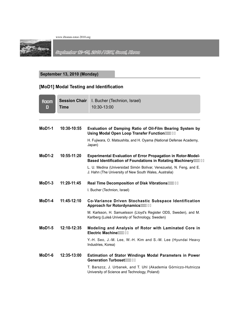

September 12-15, 2010 / KIST, Seoul, Korea

#### **September 13, 2010 (Monday)**

#### **[MoD1] Modal Testing and Identification**

| <b>Room</b><br>D | <b>Session Chair</b><br><b>Time</b> | I. Bucher (Technion, Israel)<br>10:30-13:00                                                                                            |
|------------------|-------------------------------------|----------------------------------------------------------------------------------------------------------------------------------------|
|                  |                                     |                                                                                                                                        |
| $MoD1-1$         | 10:30-10:55                         | Evaluation of Damping Ratio of Oil-Film Bearing System by<br>Using Modal Open Loop Transfer Function""%-                               |
|                  |                                     | H. Fujiwara, O. Matsushita, and H. Oyama (National Defense Academy,<br>Japan)                                                          |
| $M0$ D1-2        | 10:55-11:20                         | <b>Experimental Evaluation of Error Propagation in Rotor-Model-</b><br>Based Identification of Foundations in Rotating Machinery """%" |
|                  |                                     | L. U. Medina (Universidad Simón Bolívar, Venezuela), N. Feng, and E.<br>J. Hahn (The University of New South Wales, Australia)         |
| $MoD1-3$         | $11:20-11:45$                       |                                                                                                                                        |
|                  |                                     | I. Bucher (Technion, Israel)                                                                                                           |
| $MoD1-4$         | 11:45-12:10                         | Co-Variance Driven Stochastic Subspace Identification<br>Approach for Rotordynamics%%                                                  |
|                  |                                     | M. Karlsson, H. Samuelsson (Lloyd's Register ODS, Sweden), and M.<br>Karlberg (Luleå University of Technology, Sweden)                 |
| $MoD1-5$         | 12:10-12:35                         | Modeling and Analysis of Rotor with Laminated Core in<br>Electric Machine""%,                                                          |
|                  |                                     | Y.-H. Seo, J.-M. Lee, W.-H. Kim and S.-M. Lee (Hyundai Heavy<br>Industries, Korea)                                                     |
| $M0$ D1-6        | 12:35-13:00                         | <b>Estimation of Stator Windings Modal Parameters in Power</b>                                                                         |
|                  |                                     | T. Barszcz, J. Urbanek, and T. Uhl (Akademia Górniczo-Hutnicza<br>University of Science and Technology, Poland)                        |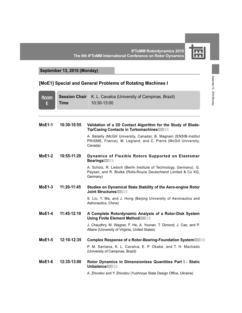# $\overline{\mathbf{m}}$ **Inni**

**September 13, 2010 (Monday)**

#### **[MoE1] Special and General Problems of Rotating Machines I**

| <b>Room</b><br>E | <b>Session Chair</b><br><b>Time</b> | K. L. Cavalca (University of Campinas, Brazil)<br>10:30-13:00                                                                                      |
|------------------|-------------------------------------|----------------------------------------------------------------------------------------------------------------------------------------------------|
| $MoE1-1$         | 10:30-10:55                         | Validation of a 3D Contact Algorithm for the Study of Blade-<br>Tip/Casing Contacts in Turbomachines  "% %                                         |
|                  |                                     | A. Batailly (McGill University, Canada), B. Magnain (ENSIB-Institut<br>PRISME, France), M. Legrand, and C. Pierre (McGill University,<br>Canada)   |
| $MoE1-2$         | 10:55-11:20                         | Dynamics of Flexible Rotors Supported on Elastomer<br>Bearings "% -                                                                                |
|                  |                                     | A. Scholz, R. Liebich (Berlin Institute of Technology, Germany), G.<br>Paysan, and R. Blutke (Rolls-Royce Deutschland Limited & Co KG,<br>Germany) |
| $MoE1-3$         | 11:20-11:45                         | Studies on Dynamical State Stability of the Aero-engine Rotor<br>Joint Structures ********                                                         |
|                  |                                     | S. Liu, Y. Ma, and J. Hong (Beijing University of Aeronautics and<br>Astronautics, China)                                                          |
| $MoE1-4$         | $11:45-12:10$                       | A Complete Rotordynamic Analysis of a Rotor-Disk System<br>Using Finite Element Method""%-(                                                        |
|                  |                                     | J. Chaudhry, M. Wagner, F. He, A. Younan, T. Dimond, J. Cao, and P.<br>Allaire (University of Virginia, United States)                             |
| <b>MoE1-5</b>    | 12:10-12:35                         | Complex Response of a Rotor-Bearing-Foundation System                                                                                              |
|                  |                                     | P. M. Santana, K. L. Cavalca, E. P. Okabe, and T. H. Machado<br>(University of Campinas, Brazil)                                                   |
| $MoE1-6$         | 12:35-13:00                         | Rotor Dynamics in Dimensionless Quantities Part I - Static<br>Unbalance  %%                                                                        |
|                  |                                     | A. Zhivotov and Y. Zhivotov (Yuzhnoye State Design Office, Ukraine)                                                                                |

September 13, 2010 (Monday) September 13 , 2010 (Monday)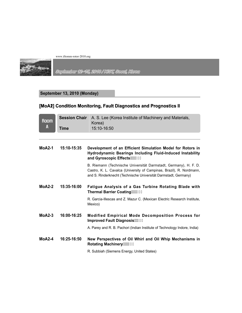

September 12-15, 2010 / KIST, Scoul, Korea

#### **September 13, 2010 (Monday)**

#### [MoA2] Condition Monitoring, Fault Diagnostics and Prognostics II

| <b>Room</b><br>A | <b>Session Chair</b><br>Time | A. S. Lee (Korea Institute of Machinery and Materials,<br>Korea)<br>15:10-16:50                                                                                                                             |
|------------------|------------------------------|-------------------------------------------------------------------------------------------------------------------------------------------------------------------------------------------------------------|
| $MoA2-1$         | 15:10-15:35                  | Development of an Efficient Simulation Model for Rotors in                                                                                                                                                  |
|                  |                              | Hydrodynamic Bearings Including Fluid-Induced Instability<br>and Gyroscopic Effects  %,                                                                                                                     |
|                  |                              | B. Riemann (Technische Universität Darmstadt, Germany), H. F. D.<br>Castro, K. L. Cavalca (University of Campinas, Brazil), R. Nordmann,<br>and S. Rinderknecht (Technische Universität Darmstadt, Germany) |
| $MoA2-2$         | 15:35-16:00                  | Fatigue Analysis of a Gas Turbine Rotating Blade with<br>Thermal Barrier Coating  8\$)                                                                                                                      |
|                  |                              | R. Garcia-Illescas and Z. Mazur C. (Mexican Electric Research Institute,<br>Mexico)                                                                                                                         |
| $MoA2-3$         | 16:00-16:25                  | <b>Modified Empirical Mode Decomposition Process for</b><br>Improved Fault Diagnosis "&%                                                                                                                    |
|                  |                              | A. Parey and R. B. Pachori (Indian Institute of Technology Indore, India)                                                                                                                                   |
| $MoA2-4$         | 16:25-16:50                  | New Perspectives of Oil Whirl and Oil Whip Mechanisms in<br>Rotating Machinery  8%                                                                                                                          |
|                  |                              | R. Subbiah (Siemens Energy, United States)                                                                                                                                                                  |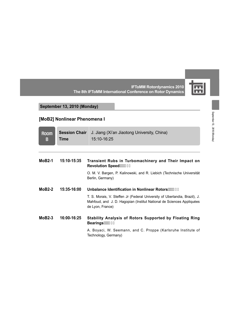$\mathbf{E}$ 

#### **IFToMM Rotordynamics 2010 The 8th IFToMM International Conference on Rotor Dynamics**

#### **September 13, 2010 (Monday)**

# **[MoB2] Nonlinear Phenomena I**

| <b>Room</b><br>B | <b>Session Chair</b><br><b>Time</b> | J. Jiang (Xi'an Jiaotong University, China)<br>15:10-16:25                                                                                                              |
|------------------|-------------------------------------|-------------------------------------------------------------------------------------------------------------------------------------------------------------------------|
|                  |                                     |                                                                                                                                                                         |
| $MoB2-1$         | 15:10-15:35                         | Transient Rubs in Turbomachinery and Their Impact on<br>Revolution Speed""888                                                                                           |
|                  |                                     | O. M. V. Bargen, P. Kalinowski, and R. Liebich (Technische Universität<br>Berlin, Germany)                                                                              |
| $MoB2-2$         | 15:35-16:00                         | Unbalance Identification in Nonlinear Rotors  & \$                                                                                                                      |
|                  |                                     | T. S. Morais, V. Steffen Jr (Federal University of Uberlandia, Brazil), J.<br>Mahfoud, and J. D. Hagopian (Institut National de Sciences Appliquées<br>de Lyon, France) |
| $MoB2-3$         | 16:00-16:25                         | <b>Stability Analysis of Rotors Supported by Floating Ring</b><br>Bearings""8',                                                                                         |
|                  |                                     | A. Boyaci, W. Seemann, and C. Proppe (Karlsruhe Institute of<br>Technology, Germany)                                                                                    |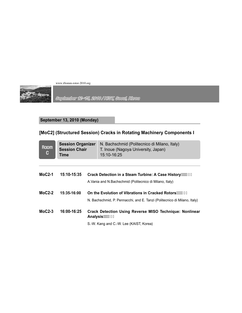

September 12~15, 2010 / KIST, Seoul, Korea

#### **September 13, 2010 (Monday)**

# **[MoC2] (Structured Session) Cracks in Rotating Machinery Components I**

| <b>Room</b><br>C | <b>Session Organizer</b><br><b>Session Chair</b><br>Time | N. Bachschmid (Politecnico di Milano, Italy)<br>T. Inoue (Nagoya University, Japan)<br>15:10-16:25 |
|------------------|----------------------------------------------------------|----------------------------------------------------------------------------------------------------|
|                  |                                                          |                                                                                                    |
| $MoC2-1$         | 15:10-15:35                                              | Crack Detection in a Steam Turbine: A Case History ""8 (,                                          |
|                  |                                                          | A. Vania and N. Bachschmid (Politecnico di Milano, Italy)                                          |
| $MoC2-2$         | 15:35-16:00                                              | On the Evolution of Vibrations in Cracked Rotors  "&) *                                            |
|                  |                                                          | N. Bachschmid, P. Pennacchi, and E. Tanzi (Politecnico di Milano, Italy)                           |
| $MoC2-3$         | 16:00-16:25                                              | <b>Crack Detection Using Reverse MISO Technique: Nonlinear</b><br>Analysis """ &*'                 |
|                  |                                                          | S.-W. Kang and C.-W. Lee (KAIST, Korea)                                                            |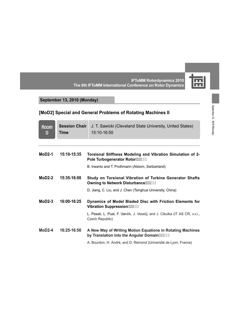

**IFToMM Rotordynamics 2010 The 8th IFToMM International Conference on Rotor Dynamics**

# **September 13, 2010 (Monday)**

| <b>Room</b><br>D | <b>Session Chair</b><br>Time | J. T. Sawicki (Cleveland State University, United States)<br>15:10-16:50                                  |
|------------------|------------------------------|-----------------------------------------------------------------------------------------------------------|
|                  |                              |                                                                                                           |
| $MoD2-1$         | 15:10-15:35                  | Torsional Stiffness Modeling and Vibration Simulation of 2-<br>Pole Turbogenerator Rotor :::: &+%         |
|                  |                              | B. Irwanto and T. Prothmann (Alstom, Switzerland)                                                         |
| $M0D2-2$         | $15:35-16:00$                | Study on Torsional Vibration of Turbine Generator Shafts<br>Owning to Network Disturbance"" & +*          |
|                  |                              | D. Jiang, C. Liu, and J. Chen (Tsinghua University, China)                                                |
| $MoD2-3$         | $16:00-16:25$                | Dynamics of Model Bladed Disc with Friction Elements for<br>Vibration Suppression  & (                    |
|                  |                              | L. Pesek, L. Pust, F. Vaněk, J. Veselý, and J. Cibulka (IT AS CR, v.v.i.,<br>Czech Republic)              |
| $MoD2-4$         | 16:25-16:50                  | A New Way of Writing Motion Equations in Rotating Machines<br>by Translation into the Angular Domain  & & |
|                  |                              | A. Bourdon, H. André, and D. Rémond (Université de Lyon, France)                                          |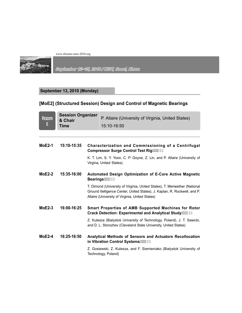

September 12-15, 2010 / KIST, Seoul, Korea

#### **September 13, 2010 (Monday)**

# **[MoE2] (Structured Session) Design and Control of Magnetic Bearings**

| <b>Session Organizer</b><br>$\begin{array}{ c c }\n\hline\n\text{Room} & \text{a.} \\ \hline\n\text{E} & \text{Time}\n\end{array}$<br><b>Time</b> | P. Allaire (University of Virginia, United States)<br>15:10-16:50 |
|---------------------------------------------------------------------------------------------------------------------------------------------------|-------------------------------------------------------------------|
|                                                                                                                                                   |                                                                   |

| $MoE2-1$ | 15:10-15:35 | Characterization and Commissioning of a Centrifugal<br>Compressor Surge Control Test Rig \$\$                                                                                                              |
|----------|-------------|------------------------------------------------------------------------------------------------------------------------------------------------------------------------------------------------------------|
|          |             | K. T. Lim, S. Y. Yoon, C. P. Goyne, Z. Lin, and P. Allaire (University of<br>Virgina, United States)                                                                                                       |
| $MoE2-2$ | 15:35-16:00 | Automated Design Optimization of E-Core Active Magnetic                                                                                                                                                    |
|          |             | T. Dimond (University of Virginia, United States), T. Meriwether (National<br>Ground Itelligence Center, United States), J. Kaplan, R. Rockwell, and P.<br>Allaire (University of Virginia, United States) |
| $MoE2-3$ | 16:00-16:25 | <b>Smart Properties of AMB Supported Machines for Rotor</b><br>Crack Detection: Experimental and Analytical Study  %                                                                                       |
|          |             |                                                                                                                                                                                                            |
|          |             | Z. Kulesza (Bialystok University of Technology, Poland), J. T. Sawicki,<br>and D. L. Storozhev (Cleveland State University, United States)                                                                 |
| $MoE2-4$ | 16:25-16:50 | <b>Analytical Methods of Sensors and Actuators Recollocation</b><br>in Vibration Control Systems"" &&                                                                                                      |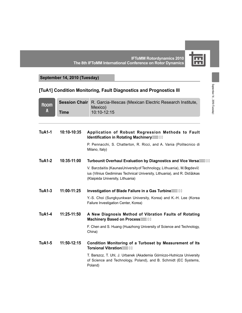屈 **IFToMM Rotordynamics 2010 The 8th IFToMM International Conference on Rotor Dynamics**

# **September 14, 2010 (Tuesday)**

# **[TuA1] Condition Monitoring, Fault Diagnostics and Prognostics III**

| <b>Room</b>   | <b>Session Chair</b> | R. Garcia-Illescas (Mexican Electric Research Institute,<br>Mexico)                                                                                                                     |
|---------------|----------------------|-----------------------------------------------------------------------------------------------------------------------------------------------------------------------------------------|
| A             | <b>Time</b>          | 10:10-12:15                                                                                                                                                                             |
|               |                      |                                                                                                                                                                                         |
| <b>TuA1-1</b> | 10:10-10:35          | Application of Robust Regression Methods to Fault<br>Identification in Rotating Machinery"" &                                                                                           |
|               |                      | P. Pennacchi, S. Chatterton, R. Ricci, and A. Vania (Politecnico di<br>Milano, Italy)                                                                                                   |
| <b>TuA1-2</b> | 10:35-11:00          | Turbounit Overhaul Evaluation by Diagnostics and Vice Versa <sup>-</sup>                                                                                                                |
|               |                      | V. Barzdaitis (KaunasUniversity of Technology, Lithuania), M. Bogdevič<br>ius (Vilnius Gediminas Technical University, Lithuania), and R. Didižokas<br>(Klaipėda University, Lithuania) |
| <b>TuA1-3</b> | 11:00-11:25          | Investigation of Blade Failure in a Gas Turbine""" ((                                                                                                                                   |
|               |                      | Y.-S. Choi (Sungkyunkwan University, Korea) and K.-H. Lee (Korea<br>Failure Investigation Center, Korea)                                                                                |
| <b>TuA1-4</b> | 11:25-11:50          | A New Diagnosis Method of Vibration Faults of Rotating<br>Machinery Based on Process""") \$                                                                                             |
|               |                      | F. Chen and S. Huang (Huazhong University of Science and Technology,<br>China)                                                                                                          |
| <b>TuA1-5</b> | 11:50-12:15          | Condition Monitoring of a Turboset by Measurement of Its<br>Torsional Vibration""" )*                                                                                                   |
|               |                      | T. Barszcz, T. Uhl, J. Urbanek (Akademia Górniczo-Hutnicza University<br>of Science and Technology, Poland), and B. Schmidt (EC Systems,<br>Poland)                                     |

September 14, 2010 (Tuesday) September 14 , 2010 (Tuesday)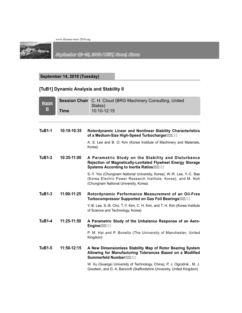

September 12-15, 2010 / KIST, Seoul, Korea

#### **September 14, 2010 (Tuesday)**

# **[TuB1] Dynamic Analysis and Stability II**

| <b>Room</b><br>B |             | <b>Session Chair</b> C. H. Cloud (BRG Machinery Consulting, United<br>States)                                                                                                  |
|------------------|-------------|--------------------------------------------------------------------------------------------------------------------------------------------------------------------------------|
|                  | <b>Time</b> | 10:10-12:15                                                                                                                                                                    |
|                  |             |                                                                                                                                                                                |
| <b>TuB1-1</b>    | 10:10-10:35 | Rotordynamic Linear and Nonlinear Stability Characteristics<br>of a Medium-Size High-Speed Turbocharger"" * &                                                                  |
|                  |             | A. S. Lee and B. O. Kim (Korea Institute of Machinery and Materials,<br>Korea)                                                                                                 |
| <b>TuB1-2</b>    | 10:35-11:00 | A Parametric Study on the Stability and Disturbance<br>Rejection of Magnetically-Levitated Flywheel Energy Storage<br>Systems According to Inertia Ratios *********            |
|                  |             | S.-Y. Yoo (Chungnam National University, Korea), W.-R. Lee, Y.-C. Bae<br>(Korea Electric Power Research Institute, Korea), and M. Noh<br>(Chungnam National University, Korea) |
| <b>TuB1-3</b>    | 11:00-11:25 | Rotordynamic Performance Measurement of an Oil-Free<br>Turbocompressor Supported on Gas Foil Bearings  +&                                                                      |
|                  |             | Y.-B. Lee, S.-B. Cho, T.-Y. Kim, C. H. Kim, and T. H. Kim (Korea Institute<br>of Science and Technology, Korea)                                                                |
| <b>TuB1-4</b>    | 11:25-11:50 | A Parametric Study of the Unbalance Response of an Aero-<br>Engine                                                                                                             |
|                  |             | P. M. Hai and P. Bonello (The University of Manchester, United<br>Kingdom)                                                                                                     |
| <b>TuB1-5</b>    | 11:50-12:15 | A New Dimensionless Stability Map of Rotor Bearing System<br>Allowing for Manufacturing Tolerances Based on a Modified<br>Summerfeld Number""", +                              |
|                  |             | W. Xu (Guangxi University of Technology, China), P. J. Ogrodnik, M. J.<br>Goodwin, and G. A. Bancroft (Staffordshire University, United Kingdom)                               |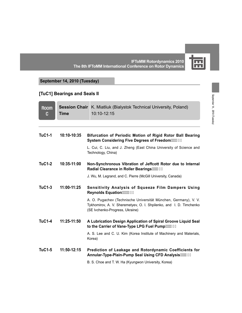

September 14 , 2010 (Tuesday)

September 14, 2010 (Tuesday)

**IFToMM Rotordynamics 2010 The 8th IFToMM International Conference on Rotor Dynamics**

#### **September 14, 2010 (Tuesday)**

#### **[TuC1] Bearings and Seals II**

| <b>Room</b><br>C | <b>Session Chair</b><br><b>Time</b> | K. Miatliuk (Bialystok Technical University, Poland)<br>10:10-12:15                                                                                                       |
|------------------|-------------------------------------|---------------------------------------------------------------------------------------------------------------------------------------------------------------------------|
|                  |                                     |                                                                                                                                                                           |
| <b>TuC1-1</b>    | 10:10-10:35                         | Bifurcation of Periodic Motion of Rigid Rotor Ball Bearing<br>System Considering Five Degrees of Freedom                                                                  |
|                  |                                     | L. Cui, C. Liu, and J. Zheng (East China University of Science and<br>Technology, China)                                                                                  |
| <b>TuC1-2</b>    | 10:35-11:00                         | Non-Synchronous Vibration of Jeffcott Rotor due to Internal<br>Radial Clearance in Roller Bearings""" -,                                                                  |
|                  |                                     | J. Wu, M. Legrand, and C. Pierre (McGill University, Canada)                                                                                                              |
| <b>TuC1-3</b>    | 11:00-11:25                         | <b>Sensitivity Analysis of Squeeze Film Dampers Using</b><br>Reynolds Equation ****************                                                                           |
|                  |                                     | A. O. Pugachev (Technische Universität München, Germany), V. V.<br>Tykhomirov, A. V. Sheremetyev, O. I. Shpilenko, and I. D. Timchenko<br>(SE Ivchenko-Progress, Ukraine) |
| <b>TuC1-4</b>    | 11:25-11:50                         | A Lubrication Design Application of Spiral Groove Liquid Seal<br>to the Carrier of Vane-Type LPG Fuel Pump"" (%)                                                          |
|                  |                                     | A. S. Lee and C. U. Kim (Korea Institute of Machinery and Materials,<br>Korea)                                                                                            |
| <b>TuC1-5</b>    | 11:50-12:15                         | Prediction of Leakage and Rotordynamic Coefficients for<br>Annular-Type-Plain-Pump Seal Using CFD Analysis"" (88                                                          |
|                  |                                     | B. S. Choe and T. W. Ha (Kyungwon University, Korea)                                                                                                                      |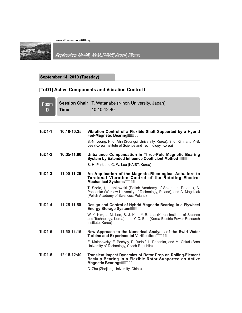

September 12-45, 2010 / KIST, Sooul, Korea

# **September 14, 2010 (Tuesday)**

# **[TuD1] Active Components and Vibration Control I**

| <b>Room</b><br>D | <b>Time</b>   | <b>Session Chair</b> T. Watanabe (Nihon University, Japan)<br>$10:10 - 12:40$                                                                                                  |
|------------------|---------------|--------------------------------------------------------------------------------------------------------------------------------------------------------------------------------|
|                  |               |                                                                                                                                                                                |
| <b>TuD1-1</b>    | 10:10-10:35   | Vibration Control of a Flexible Shaft Supported by a Hybrid<br>Foil-Magnetic Bearing"" (&+                                                                                     |
|                  |               | S.-N. Jeong, H.-J. Ahn (Soongsil University, Korea), S.-J. Kim, and Y.-B.<br>Lee (Korea Institute of Science and Technology, Korea)                                            |
| <b>TuD1-2</b>    | 10:35-11:00   | Unbalance Compensation in Three-Pole Magnetic Bearing<br>System by Extended Influence Coefficient Method"""(' (                                                                |
|                  |               | S.-H. Park and C.-W. Lee (KAIST, Korea)                                                                                                                                        |
| $TuD1-3$         | $11:00-11:25$ | An Application of the Magneto-Rheological Actuators to<br>Torsional Vibration Control of the Rotating Electro-<br>Mechanical Systems""((\$                                     |
|                  |               | T. Szolc, Ł. Jankowski (Polish Academy of Sciences, Poland), A.<br>Pochanke (Warsaw University of Technology, Poland), and A. Magdziak<br>(Polish Academy of Sciences, Poland) |
| <b>TuD1-4</b>    | $11:25-11:50$ | Design and Control of Hybrid Magnetic Bearing in a Flywheel<br>Energy Storage System ""((,                                                                                     |
|                  |               | W.-Y. Kim, J. M. Lee, S.-J. Kim, Y.-B. Lee (Korea Institute of Science<br>and Technology, Korea), and Y.-C. Bae (Korea Electric Power Research<br>Institute, Korea)            |
| <b>TuD1-5</b>    | $11:50-12:15$ | New Approach to the Numerical Analysis of the Swirl Water<br>Turbine and Experimental Verification (1) (                                                                       |
|                  |               | E. Malenovsky, F. Pochyly, P. Rudolf, L. Pohanka, and M. Chlud (Brno<br>University of Technology, Czech Republic)                                                              |
| $TuD1-6$         | $12:15-12:40$ | <b>Transient Impact Dynamics of Rotor Drop on Rolling-Element</b><br>Backup Bearing in a Flexible Rotor Supported on Active                                                    |
|                  |               | C. Zhu (Zhejiang University, China)                                                                                                                                            |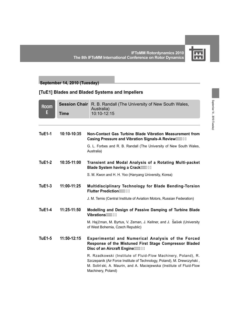

#### **September 14, 2010 (Tuesday)**

# **[TuE1] Blades and Bladed Systems and Impellers**

| <b>Room</b><br>E | <b>Time</b> | <b>Session Chair</b> R. B. Randall (The University of New South Wales,<br>Australia)<br>10:10-12:15                                                                                                                                   |
|------------------|-------------|---------------------------------------------------------------------------------------------------------------------------------------------------------------------------------------------------------------------------------------|
| <b>TuE1-1</b>    | 10:10-10:35 | Non-Contact Gas Turbine Blade Vibration Measurement from<br>Casing Pressure and Vibration Signals-A Review""(*,                                                                                                                       |
|                  |             | G. L. Forbes and R. B. Randall (The University of New South Wales,<br>Australia)                                                                                                                                                      |
| <b>TuE1-2</b>    | 10:35-11:00 | Transient and Modal Analysis of a Rotating Multi-packet<br>Blade System having a Crack"" (+*                                                                                                                                          |
|                  |             | S. M. Kwon and H. H. Yoo (Hanyang University, Korea)                                                                                                                                                                                  |
| <b>TuE1-3</b>    | 11:00-11:25 | Multidisciplinary Technology for Blade Bending-Torsion<br>Flutter Prediction""(, &                                                                                                                                                    |
|                  |             | J. M. Temis (Central Institute of Aviation Motors, Russian Federation)                                                                                                                                                                |
| <b>TuE1-4</b>    | 11:25-11:50 | Modelling and Design of Passive Damping of Turbine Blade<br>Vibrations "" (-\$                                                                                                                                                        |
|                  |             | M. Hajžman, M. Byrtus, V. Zeman, J. Kellner, and J. Sašek (University<br>of West Bohemia, Czech Republic)                                                                                                                             |
| <b>TuE1-5</b>    | 11:50-12:15 | <b>Experimental and Numerical Analysis of the Forced</b><br>Response of the Mistuned First Stage Compressor Bladed<br>Disc of an Aircraft Engine"") \$\$                                                                              |
|                  |             | R. Rzadkowski (Institute of Fluid-Flow Machinery, Poland), R.<br>Szczepanik (Air Force Institute of Technology, Poland), M. Drewczyński,<br>M. Soliński, A. Maurin, and A. Maciejewska (Institute of Fluid-Flow<br>Machinery, Poland) |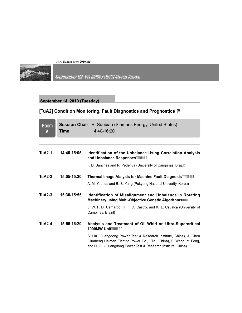

September 12~15, 2010 / KIST, Seoul, Korea

# **September 14, 2010 (Tuesday)**

# **[TuA2] Condition Monitoring, Fault Diagnostics and Prognostics** Ⅳ

| <b>Room</b><br>A | <b>Time</b> | <b>Session Chair</b> R. Subbiah (Siemens Energy, United States)<br>$14:40-16:20$                                                                                                                          |
|------------------|-------------|-----------------------------------------------------------------------------------------------------------------------------------------------------------------------------------------------------------|
|                  |             |                                                                                                                                                                                                           |
| <b>TuA2-1</b>    | 14:40-15:05 | Identification of the Unbalance Using Correlation Analysis                                                                                                                                                |
|                  |             | F. D. Sanches and R. Pederiva (University of Campinas, Brazil)                                                                                                                                            |
| <b>TuA2-2</b>    | 15:05-15:30 | Thermal Image Alalysis for Machine Fault Diagnosis                                                                                                                                                        |
|                  |             | A. M. Younus and B.-S. Yang (Pukyong National Univerity, Korea)                                                                                                                                           |
| $TuA2-3$         | 15:30-15:55 | Identification of Misalignment and Unbalance in Rotating<br>Machinery using Multi-Objective Genetic Algorithms"") &                                                                                       |
|                  |             | L. W. F. D. Camargo, H. F. D. Castro, and K. L. Cavalca (University of<br>Campinas, Brazil)                                                                                                               |
| <b>TuA2-4</b>    | 15:55-16:20 | Analysis and Treatment of Oil Whirl on Ultra-Supercritical<br>1000MW Unit (1994) '%                                                                                                                       |
|                  |             | S. Liu (Guangdong Power Test & Research Institute, China), J. Chen<br>(Huaneng Haimen Electric Power Co., LTd., China), F. Wang, Y. Feng,<br>and H. Gu (Guangdong Power Test & Research Institute, China) |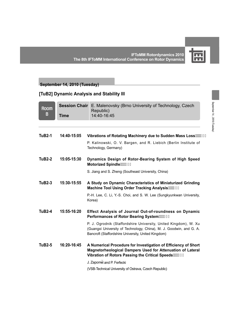

September 14 , 2010 (Tuesday)

September 14, 2010 (Tuesday)

#### **September 14, 2010 (Tuesday)**

#### **[TuB2] Dynamic Analysis and Stability III**

| <b>Room</b><br>$\mathbf{B}$ | <b>Time</b> | Session Chair E. Malenovsky (Brno University of Technology, Czech<br>Republic)<br>14:40-16:45                                                                                                  |
|-----------------------------|-------------|------------------------------------------------------------------------------------------------------------------------------------------------------------------------------------------------|
|                             |             |                                                                                                                                                                                                |
| <b>TuB2-1</b>               | 14:40-15:05 | Vibrations of Rotating Machinery due to Sudden Mass Loss"")' *                                                                                                                                 |
|                             |             | P. Kalinowski, O. V. Bargen, and R. Liebich (Berlin Institute of<br>Technology, Germany)                                                                                                       |
| <b>TuB2-2</b>               | 15:05-15:30 | Dynamics Design of Rotor-Bearing System of High Speed                                                                                                                                          |
|                             |             | S. Jiang and S. Zheng (Southeast University, China)                                                                                                                                            |
| $TuB2-3$                    | 15:30-15:55 | A Study on Dynamic Characteristics of Miniaturized Grinding<br>Machine Tool Using Order Tracking Analysis"")) \$                                                                               |
|                             |             | P.-H. Lee, C. Li, Y.-S. Choi, and S. W. Lee (Sungkyunkwan University,<br>Korea)                                                                                                                |
| $TuB2-4$                    | 15:55-16:20 | Effect Analysis of Journal Out-of-roundness on Dynamic<br>Performances of Rotor Bearing System (1997) (                                                                                        |
|                             |             | P. J. Ogrodnik (Staffordshire University, United Kingdom), W. Xu<br>(Guangxi University of Technology, China), M. J. Goodwin, and G. A.<br>Bancroft (Staffordshire University, United Kingdom) |
| <b>TuB2-5</b>               | 16:20-16:45 | A Numerical Procedure for Investigation of Efficiency of Short<br>Magnetorheological Dampers Used for Attenuation of Lateral<br>Vibration of Rotors Passing the Critical Speeds"") *\$         |
|                             |             | J. Zapomel and P. Ferfecki                                                                                                                                                                     |
|                             |             |                                                                                                                                                                                                |

(VSB-Technical University of Ostrava, Czech Republic)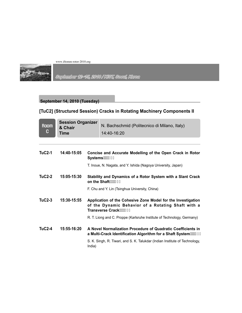

# September 12-45, 2010 / KIST, Seoul, Korea

# **September 14, 2010 (Tuesday)**

# **[TuC2] (Structured Session) Cracks in Rotating Machinery Components II**

| <b>Room</b><br>C | <b>Session Organizer</b><br>& Chair<br><b>Time</b> |        | N. Bachschmid (Politecnico di Milano, Italy)<br>14:40-16:20                                                                                   |
|------------------|----------------------------------------------------|--------|-----------------------------------------------------------------------------------------------------------------------------------------------|
|                  |                                                    |        |                                                                                                                                               |
| <b>TuC2-1</b>    | 14:40-15:05                                        |        | Concise and Accurate Modelling of the Open Crack in Rotor<br>Systems $\cdots$ )*,                                                             |
|                  |                                                    |        | T. Inoue, N. Nagata, and Y. Ishida (Nagoya University, Japan)                                                                                 |
| $TuC2-2$         | 15:05-15:30                                        |        | Stability and Dynamics of a Rotor System with a Slant Crack<br>on the Shaft $\cdots$ ) +)                                                     |
|                  |                                                    |        | F. Chu and Y. Lin (Tsinghua University, China)                                                                                                |
| $TuC2-3$         | 15:30-15:55                                        |        | Application of the Cohesive Zone Model for the Investigation<br>of the Dynamic Behavior of a Rotating Shaft with a<br>Transverse Crack""), \$ |
|                  |                                                    |        | R. T. Liong and C. Proppe (Karlsruhe Institute of Technology, Germany)                                                                        |
| $TuC2-4$         | $15:55-16:20$                                      |        | A Novel Normalization Procedure of Quadratic Coefficients in<br>a Multi-Crack Identification Algorithm for a Shaft System  ), -               |
|                  |                                                    | India) | S. K. Singh, R. Tiwari, and S. K. Talukdar (Indian Institute of Technology,                                                                   |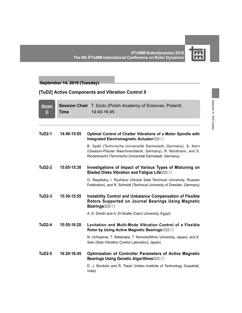

#### **September 14, 2010 (Tuesday)**

#### **[TuD2] Active Components and Vibration Control II**

| <b>Room</b><br>D | <b>Time</b> | <b>Session Chair</b>   T. Szolc (Polish Academy of Sciences, Poland)<br>14:40-16:45                                                                                                         |
|------------------|-------------|---------------------------------------------------------------------------------------------------------------------------------------------------------------------------------------------|
| $TuD2-1$         | 14:40-15:05 | Optimal Control of Chatter Vibrations of a Motor Spindle with<br>Integrated Electromagnetic Actuator"") - +                                                                                 |
|                  |             | B. Späh (Technische Universität Darmstadt, Germany), S. Kern<br>(Gleason-Pfauter Maschinenfabrik, Germany), R. Nordmann, and S.<br>Rinderknecht (Technische Universität Darmstadt, Germany) |
| $TuD2-2$         | 15:05-15:30 | Investigations of Impact of Various Types of Mistuning on<br>Bladed Disks Vibration and Fatigue Life ****** \$'                                                                             |
|                  |             | O. Repetskiy, I. Ryzhikov (Irkutsk Sate Technical University, Russian<br>Federation), and R. Schmidt (Technical University of Dresden, Germany)                                             |
| <b>TuD2-3</b>    | 15:30-15:55 | <b>Instability Control and Unbalance Compensation of Flexible</b><br>Rotors Supported on Journal Bearings Using Magnetic<br>Bearings **** \$(                                               |
|                  |             | A. S. Dimitri and A. El-Shafei (Cairo University, Egypt)                                                                                                                                    |
| $TuD2-4$         | 15:55-16:20 | Levitation and Multi-Mode Vibration Control of a Flexible<br>Rotor by Using Active Magnetic Bearings ****** %                                                                               |
|                  |             | N. Uchiyamai, T. Watanabe, T. Nomoto(Nihon University, Japan), and K.<br>Seto (Seto Vibration Control Laboratory, Japan)                                                                    |
| <b>TuD2-5</b>    | 16:20-16:45 | Optimization of Controller Parameters of Active Magnetic                                                                                                                                    |
|                  |             | D. J. Bordoloi and R. Tiwari (Indian Institute of Technology Guwahati,<br>India)                                                                                                            |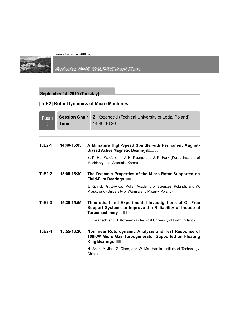

September 12×15, 2010 / KIST, Seoul, Korea

#### **September 14, 2010 (Tuesday)**

# **[TuE2] Rotor Dynamics of Micro Machines**

| <b>Room</b><br>E | <b>Session Chair</b><br>Time | Z. Kozanecki (Techical University of Lodz, Poland)<br>14:40-16:20                                                                      |
|------------------|------------------------------|----------------------------------------------------------------------------------------------------------------------------------------|
|                  |                              |                                                                                                                                        |
| <b>TuE2-1</b>    | 14:40-15:05                  | A Miniature High-Speed Spindle with Permanent Magnet-<br>Biased Active Magnetic Bearings ****** &**                                    |
|                  |                              | S.-K. Ro, W.-C. Shin, J.-H. Kyung, and J.-K. Park (Korea Institute of<br>Machinery and Materials, Korea)                               |
| TuE2-2           | 15:05-15:30                  | The Dynamic Properties of the Micro-Rotor Supported on<br>Fluid-Film Bearings  * &                                                     |
|                  |                              | J. Kicinski, G. Zywica, (Polish Academy of Sciences, Poland), and W.<br>Miaskowski (University of Warmia and Mazury, Poland)           |
| <b>TuE2-3</b>    | 15:30-15:55                  | Theoretical and Experimental Investigations of Oil-Free<br>Support Systems to Improve the Reliability of Industrial<br>Turbomachinery" |
|                  |                              | Z. Kozanecki and D. Kozanecka (Techical University of Lodz, Poland)                                                                    |
| <b>TuE2-4</b>    | 15:55-16:20                  | Nonlinear Rotordynamic Analysis and Test Response of<br>100KW Micro Gas Turbogenerator Supported on Floating<br>Ring Bearings **** (\$ |
|                  |                              | N. Shen, Y. Jiao, Z. Chen, and W. Ma (Harbin Institute of Technology,<br>China)                                                        |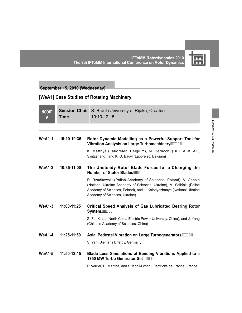

**IFToMM Rotordynamics 2010 The 8th IFToMM International Conference on Rotor Dynamics**

**September 15, 2010 (Wednesday)**

# **[WeA1] Case Studies of Rotating Machinery**

| <b>Room</b><br>A | <b>Time</b> | <b>Session Chair</b> S. Braut (University of Rijeka, Croatia)<br>10:10-12:15                                                                                                                                                                   |
|------------------|-------------|------------------------------------------------------------------------------------------------------------------------------------------------------------------------------------------------------------------------------------------------|
|                  |             |                                                                                                                                                                                                                                                |
| <b>WeA1-1</b>    | 10:10-10:35 | Rotor Dynamic Modelling as a Powerful Support Tool for                                                                                                                                                                                         |
|                  |             | K. Matthys (Laborelec, Belgium), M. Perucchi (DELTA JS AG,<br>Switzerland), and K. D. Bauw (Laborelec, Belgium)                                                                                                                                |
| <b>WeA1-2</b>    | 10:35-11:00 | The Unsteady Rotor Blade Forces for a Changing the<br>Number of Stator Blades""*)(                                                                                                                                                             |
|                  |             | R. Rzadkowski (Polish Academy of Sciences, Poland), V. Gnesin<br>(National Ukraine Academy of Sciences, Ukraine), M. Soliński (Polish<br>Academy of Sciences, Poland), and L. Kolodyazhnaya (National Ukraine<br>Academy of Sciences, Ukraine) |
| <b>WeA1-3</b>    | 11:00-11:25 | <b>Critical Speed Analysis of Gas Lubricated Bearing Rotor</b><br>System ***** &                                                                                                                                                               |
|                  |             | Z. Fu, X. Liu (North China Electric Power University, China), and J. Yang<br>(Chinese Academy of Sciences, China)                                                                                                                              |
| <b>WeA1-4</b>    | 11:25-11:50 | Axial Pedestal Vibration on Large Turbogenerators                                                                                                                                                                                              |
|                  |             | S. Yan (Siemens Energy, Germany)                                                                                                                                                                                                               |
| <b>WeA1-5</b>    | 11:50-12:15 | Blade Loss Simulations of Bending Vibrations Applied to a<br>1750 MW Turbo Generator Set* +&                                                                                                                                                   |
|                  |             | P. Verrier, H. Martina, and S. Kohli-Lynch (Electricite de France, France)                                                                                                                                                                     |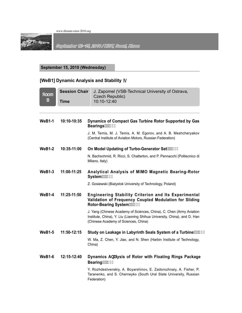

September 12~15, 2010 / KIST, Seoul, Korea

**September 15, 2010 (Wednesday)**

# **[WeB1] Dynamic Analysis and Stability** Ⅳ

| <b>Room</b><br>B | <b>Session Chair</b><br><b>Time</b> | J. Zapomel (VSB-Technical University of Ostrava,<br>Czech Republic)<br>10:10-12:40                                                                                                        |
|------------------|-------------------------------------|-------------------------------------------------------------------------------------------------------------------------------------------------------------------------------------------|
|                  |                                     |                                                                                                                                                                                           |
| <b>WeB1-1</b>    | 10:10-10:35                         | Dynamics of Compact Gas Turbine Rotor Supported by Gas<br>Bearings **** +,                                                                                                                |
|                  |                                     | J. M. Temis, M. J. Temis, A. M. Egorov, and A. B. Meshcheryakov<br>(Central Institute of Aviation Motors, Russian Federation)                                                             |
| $WeB1-2$         | 10:35-11:00                         | On Model Updating of Turbo-Generator Set*, )                                                                                                                                              |
|                  |                                     | N. Bachschmid, R. Ricci, S. Chatterton, and P. Pennacchi (Politecnico di<br>Milano, Italy)                                                                                                |
| $WeB1-3$         | 11:00-11:25                         | Analytical Analysis of MIMO Magnetic Bearing-Rotor<br>System <sup>""*</sup> -'                                                                                                            |
|                  |                                     | Z. Gosiewski (Bialystok University of Technology, Poland)                                                                                                                                 |
| <b>WeB1-4</b>    | 11:25-11:50                         | <b>Engineering Stability Criterion and Its Experimental</b><br>Validation of Frequency Coupled Modulation for Sliding<br>Rotor-Bearing System ***********                                 |
|                  |                                     | J. Yang (Chinese Academy of Sciences, China), C. Chen (Army Aviation<br>Institute, China), Y. Liu (Liaoning Shihua University, China), and D. Han<br>(Chinese Academy of Sciences, China) |
| <b>WeB1-5</b>    | 11:50-12:15                         | Study on Leakage in Labyrinth Seals System of a Turbine                                                                                                                                   |
|                  |                                     | W. Ma, Z. Chen, Y. Jiao, and N. Shen (Harbin Institute of Technology,<br>China)                                                                                                           |
| $WeB1-6$         | 12:15-12:40                         | Dynamics AbUlysis of Rotor with Floating Rings Package<br>Bearing ""+%                                                                                                                    |
|                  |                                     | Y. Rozhdestvenskiy, A. Boyarshinov, E. Zadorozhnaiy, A. Fisher, P.<br>Taranenko, and S. Cherneyko (South Ural State University, Russian<br>Federation)                                    |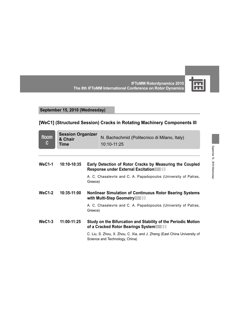

September 15 , 2010 (Wednesday)

September 15, 2010 (Wednesday)

**IFToMM Rotordynamics 2010 The 8th IFToMM International Conference on Rotor Dynamics**

# **September 15, 2010 (Wednesday)**

# **[WeC1] (Structured Session) Cracks in Rotating Machinery Components III**

| <b>Room</b><br>C | <b>Session Organizer</b><br>& Chair<br>Time |         | N. Bachschmid (Politecnico di Milano, Italy)<br>10:10-11:25                                                     |
|------------------|---------------------------------------------|---------|-----------------------------------------------------------------------------------------------------------------|
| $WeC1-1$         | $10:10-10:35$                               |         | Early Detection of Rotor Cracks by Measuring the Coupled<br>Response under External Excitation **************** |
|                  |                                             | Greece) | A. C. Chasalevris and C. A. Papadopoulos (University of Patras,                                                 |
| $WeC1-2$         | 10:35-11:00                                 |         | <b>Nonlinear Simulation of Continuous Rotor Bearing Systems</b><br>with Multi-Step Geometry""+' &               |
|                  |                                             | Greece) | A. C. Chasalevris and C. A. Papadopoulos (University of Patras,                                                 |
| $WeC1-3$         | $11:00-11:25$                               |         | Study on the Bifurcation and Stability of the Periodic Motion<br>of a Cracked Rotor Bearings System *********   |
|                  |                                             |         | C. Liu, S. Zhou, X. Zhou, C. Xia, and J. Zheng (East China University of<br>Science and Technology, China)      |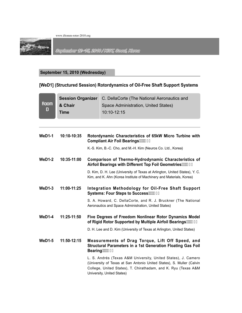

September 12-45, 2010 / KIST, Seoul, Korea

#### **September 15, 2010 (Wednesday)**

#### **[WeD1] (Structured Session) Rotordynamics of Oil-Free Shaft Support Systems**

| <b>Room</b><br>D | <b>Session Organizer</b><br>& Chair<br><b>Time</b> |  | C. DellaCorte (The National Aeronautics and<br>Space Administration, United States)<br>10:10-12:15                                                                                                                                     |
|------------------|----------------------------------------------------|--|----------------------------------------------------------------------------------------------------------------------------------------------------------------------------------------------------------------------------------------|
| <b>WeD1-1</b>    | 10:10-10:35                                        |  | Rotordynamic Characteristics of 65kW Micro Turbine with<br>Compliant Air Foil Bearings ********                                                                                                                                        |
|                  |                                                    |  | K.-S. Kim, B.-C. Cho, and M.-H. Kim (Neuros Co. Ltd., Korea)                                                                                                                                                                           |
| $WeD1-2$         | 10:35-11:00                                        |  | Comparison of Thermo-Hydrodynamic Characteristics of<br>Airfoil Bearings with Different Top Foil Geometries                                                                                                                            |
|                  |                                                    |  | D. Kim, D. H. Lee (University of Texas at Arlington, United States), Y. C.<br>Kim, and K. Ahn (Korea Institute of Machinery and Materials, Korea)                                                                                      |
| $WeD1-3$         | 11:00-11:25                                        |  | Integration Methodology for Oil-Free Shaft Support                                                                                                                                                                                     |
|                  |                                                    |  | S. A. Howard, C. DellaCorte, and R. J. Bruckner (The National<br>Aeronautics and Space Administration, United States)                                                                                                                  |
| $WeD1-4$         | 11:25-11:50                                        |  | Five Degrees of Freedom Nonlinear Rotor Dynamics Model<br>of Rigid Rotor Supported by Multiple Airfoil Bearings  +**                                                                                                                   |
|                  |                                                    |  | D. H. Lee and D. Kim (University of Texas at Arlington, United States)                                                                                                                                                                 |
| <b>WeD1-5</b>    | 11:50-12:15                                        |  | Measurements of Drag Torque, Lift Off Speed, and<br><b>Structural Parameters in a 1st Generation Floating Gas Foil</b><br>Bearing :::: ++(                                                                                             |
|                  |                                                    |  | L. S. Andrés (Texas A&M University, United States), J. Camero<br>(University of Texas at San Antonio United States), S. Muller (Calvin<br>College, United States), T. Chirathadam, and K. Ryu (Texas A&M<br>University, United States) |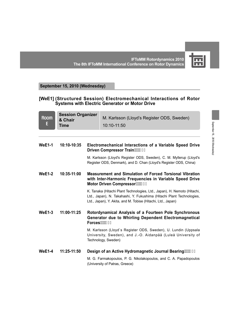

**IFToMM Rotordynamics 2010 The 8th IFToMM International Conference on Rotor Dynamics**

#### **September 15, 2010 (Wednesday)**

#### **[WeE1] (Structured Session) Electromechanical Interactions of Rotor Systems with Electric Generator or Motor Drive**

| $\begin{array}{r} \text{3} \\ \text{R} \\ \text{E} \\ \text{Time} \end{array}$ | <b>Session Organizer</b> | M. Karlsson (Lloyd's Register ODS, Sweden) |
|--------------------------------------------------------------------------------|--------------------------|--------------------------------------------|
|                                                                                | <b>Time</b>              | 10:10-11:50                                |

| <b>WeE1-1</b> | 10:10-10:35 | Electromechanical Interactions of a Variable Speed Drive<br>Driven Compressor Train                                                                                                                               |
|---------------|-------------|-------------------------------------------------------------------------------------------------------------------------------------------------------------------------------------------------------------------|
|               |             | M. Karlsson (Lloyd's Register ODS, Sweden), C. M. Myllerup (Lloyd's<br>Register ODS, Denmark), and D. Chan (Lloyd's Register ODS, China)                                                                          |
| <b>WeE1-2</b> | 10:35-11:00 | <b>Measurement and Simulation of Forced Torsional Vibration</b><br>with Inter-Harmonic Frequencies in Variable Speed Drive<br>Motor Driven Compressor ***** + %                                                   |
|               |             | K. Tanaka (Hitachi Plant Technologies, Ltd., Japan), H. Nemoto (Hitachi,<br>Ltd., Japan), N. Takahashi, Y. Fukushima (Hitachi Plant Technologies,<br>Ltd., Japan), Y. Akita, and M. Tobise (Hitachi, Ltd., Japan) |
| <b>WeE1-3</b> | 11:00-11:25 | Rotordynamical Analysis of a Fourteen Pole Synchronous<br><b>Generator due to Whirling Dependent Electromagnetical</b><br>$Forces^{\cdots}$ +--                                                                   |
|               |             | M. Karlsson (Lloyd's Register ODS, Sweden), U. Lundin (Uppsala<br>University, Sweden), and J.-O. Aidanpää (Luleå University of<br>Technology, Sweden)                                                             |
| $WeE1-4$      | 11:25-11:50 | Design of an Active Hydromagnetic Journal Bearing"", \$+                                                                                                                                                          |
|               |             | M. G. Farmakopoulos, P. G. Nikolakopoulos, and C. A. Papadopoulos<br>(University of Patras, Greece)                                                                                                               |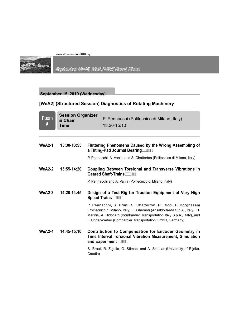

September 12-15, 2010 / KIST, Seoul, Korea

#### **September 15, 2010 (Wednesday)**

# **[WeA2] (Structured Session) Diagnostics of Rotating Machinery**

| <b>Room</b><br>A | <b>Session Organizer</b><br>& Chair<br>Time |                                                                               | P. Pennacchi (Politecnico di Milano, Italy)<br>13:30-15:10                                                                                                                                                                                                                              |
|------------------|---------------------------------------------|-------------------------------------------------------------------------------|-----------------------------------------------------------------------------------------------------------------------------------------------------------------------------------------------------------------------------------------------------------------------------------------|
|                  |                                             |                                                                               |                                                                                                                                                                                                                                                                                         |
| <b>WeA2-1</b>    | 13:30-13:55                                 |                                                                               | Fluttering Phenomena Caused by the Wrong Assembling of<br>a Tilting-Pad Journal Bearing"", %                                                                                                                                                                                            |
|                  |                                             |                                                                               | P. Pennacchi, A. Vania, and S. Chatterton (Politecnico di Milano, Italy)                                                                                                                                                                                                                |
| $WeA2-2$         | 13:55-14:20                                 |                                                                               | <b>Coupling Between Torsional and Transverse Vibrations in</b><br>Geared Shaft-Trains"", &&                                                                                                                                                                                             |
|                  |                                             |                                                                               | P. Pennacchi and A. Vania (Politecnico di Milano, Italy)                                                                                                                                                                                                                                |
| $WeA2-3$         | 14:20-14:45                                 | Design of a Test-Rig for Traction Equipment of Very High<br>Speed Trains"", & |                                                                                                                                                                                                                                                                                         |
|                  |                                             |                                                                               | P. Pennacchi, S. Bruni, S. Chatterton, R. Ricci, P. Borghesani<br>(Politecnico di Milano, Italy), F. Gherardi (AnsaldoBreda S.p.A., Italy), D.<br>Marinis, A. Didonato (Bombardier Transportation Italy S.p.A., Italy), and<br>F. Unger-Weber (Bombardier Transportation GmbH, Germany) |
| $WeA2-4$         | 14:45-15:10                                 |                                                                               | <b>Contribution to Compensation for Encoder Geometry in</b><br>Time Interval Torsional Vibration Measurement, Simulation<br>and Experiment"", ' +                                                                                                                                       |
|                  |                                             | Croatia)                                                                      | S. Braut, R. Zigulic, G. Stimac, and A. Skoblar (University of Rijeka,                                                                                                                                                                                                                  |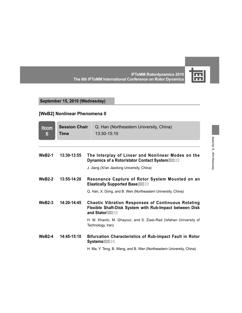岡

**IFToMM Rotordynamics 2010 The 8th IFToMM International Conference on Rotor Dynamics**

# **September 15, 2010 (Wednesday)**

# **[WeB2] Nonlinear Phenomena II**

| <b>Room</b><br>В | <b>Session Chair</b><br>Time | Q. Han (Northeastern University, China)<br>13:30-15:10                                                                                  |  |
|------------------|------------------------------|-----------------------------------------------------------------------------------------------------------------------------------------|--|
| <b>WeB2-1</b>    | 13:30-13:55                  | The Interplay of Linear and Nonlinear Modes on the<br>Dynamics of a Rotor/stator Contact System , ()                                    |  |
|                  |                              | J. Jiang (Xi'an Jiaotong University, China)                                                                                             |  |
| $WeB2-2$         | 13:55-14:20                  | Resonance Capture of Rotor System Mounted on an<br>Elastically Supported Base"", ) %                                                    |  |
|                  |                              | Q. Han, X. Dong, and B. Wen (Northeastern University, China)                                                                            |  |
| $WeB2-3$         | 14:20-14:45                  | <b>Chaotic Vibration Responses of Continuous Rotating</b><br>Flexible Shaft-Disk System with Rub-Impact between Disk<br>and Stator , ), |  |
|                  |                              | H. M. Khanlo, M. Ghayour, and S. Ziaei-Rad (Isfahan University of<br>Technology, Iran)                                                  |  |
| $WeB2-4$         | 14:45-15:10                  | <b>Bifurcation Characteristics of Rub-impact Fault in Rotor</b><br>Systems"", **                                                        |  |
|                  |                              | H. Ma, Y. Teng, B. Wang, and B. Wen (Northeastern University, China)                                                                    |  |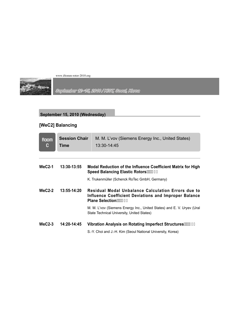

September 12-15, 2010 / KIST, Seoul, Korea

# **September 15, 2010 (Wednesday)**

# **[WeC2] Balancing**

| <b>Room</b><br>C | <b>Session Chair</b><br>Time | M. M. L'vov (Siemens Energy Inc., United States)<br>13:30-14:45                                                                             |  |  |
|------------------|------------------------------|---------------------------------------------------------------------------------------------------------------------------------------------|--|--|
|                  |                              |                                                                                                                                             |  |  |
| $WeC2-1$         | 13:30-13:55                  | Modal Reduction of the Influence Coefficient Matrix for High<br>Speed Balancing Elastic Rotors , +&                                         |  |  |
|                  |                              | K. Trukenmüller (Schenck RoTec GmbH, Germany)                                                                                               |  |  |
| $WeC2-2$         | 13:55-14:20                  | <b>Residual Modal Unbalance Calculation Errors due to</b><br>Influence Coefficient Deviations and Improper Balance<br>Plane Selection"", ++ |  |  |
|                  |                              | M. M. L'vov (Siemens Energy Inc., United States) and E. V. Uryev (Ural<br>State Technical University, United States)                        |  |  |
| $WeC2-3$         | 14:20-14:45                  | Vibration Analysis on Rotating Imperfect Structures , '                                                                                     |  |  |
|                  |                              | S.-Y. Choi and J.-H. Kim (Seoul National University, Korea)                                                                                 |  |  |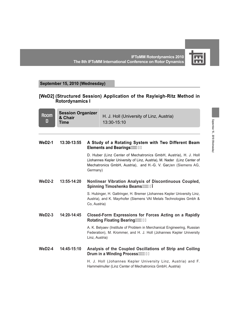匾

**IFToMM Rotordynamics 2010 The 8th IFToMM International Conference on Rotor Dynamics**

#### **September 15, 2010 (Wednesday)**

#### **[WeD2] (Structured Session) Application of the Rayleigh-Ritz Method in Rotordynamics I**

| <b>Room</b><br>D | <b>Session Organizer</b><br>& Chair<br>Time      |                | H. J. Holl (University of Linz, Austria)<br>13:30-15:10                                                                                                                                                      |
|------------------|--------------------------------------------------|----------------|--------------------------------------------------------------------------------------------------------------------------------------------------------------------------------------------------------------|
|                  |                                                  |                |                                                                                                                                                                                                              |
| $WeD2-1$         | 13:30-13:55                                      |                | A Study of a Rotating System with Two Different Beam<br>Elements and Bearings , +                                                                                                                            |
|                  |                                                  | Germany)       | D. Huber (Linz Center of Mechatronics GmbH, Austria), H. J. Holl<br>(Johannes Kepler University of Linz, Austria), M. Nader (Linz Center of<br>Mechatronics GmbH, Austria), and H.-G. V. Garßen (Siemens AG, |
| $WeD2-2$         | $13:55-14:20$<br>Spinning Timoshenko Beams"", -) |                | Nonlinear Vibration Analysis of Discontinuous Coupled,                                                                                                                                                       |
|                  |                                                  | Co, Austria)   | S. Hubinger, H. Gattringer, H. Bremer (Johannes Kepler University Linz,<br>Austria), and K. Mayrhofer (Siemens VAI Metals Technologies Gmbh &                                                                |
| $WeD2-3$         | $14:20-14:45$                                    |                | <b>Closed-Form Expressions for Forces Acting on a Rapidly</b>                                                                                                                                                |
|                  |                                                  | Linz, Austria) | A. K. Belyaev (Institute of Problem in Merchanical Engineering, Russian<br>Federation), M. Krommer, and H. J. Holl (Johannes Kepler University                                                               |
| $WeD2-4$         | 14:45-15:10                                      |                | Analysis of the Coupled Oscillations of Strip and Coiling<br>Drum in a Winding Process""-\$-                                                                                                                 |
|                  |                                                  |                | H. J. Holl (Johannes Kepler University Linz, Austria) and F.<br>Hammelmuller (Linz Center of Mechatronics GmbH, Austria)                                                                                     |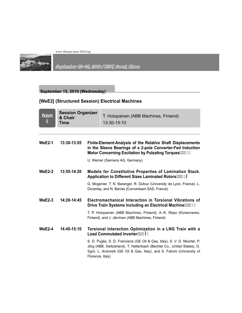

September 12-15, 2010 / KIST, Seoul, Korea

# **September 15, 2010 (Wednesday)**

# **[WeE2] (Structured Session) Electrical Machines**

| <b>Room</b><br>Е | <b>Session Organizer</b><br>& Chair<br><b>Time</b> |                  | T. Holopainen (ABB Machines, Finland)<br>13:30-15:10                                                                                                                                                                            |
|------------------|----------------------------------------------------|------------------|---------------------------------------------------------------------------------------------------------------------------------------------------------------------------------------------------------------------------------|
|                  |                                                    |                  |                                                                                                                                                                                                                                 |
| <b>WeE2-1</b>    | 13:30-13:55                                        |                  | Finite-Element-Analysis of the Relative Shaft Displacements<br>in the Sleeve Bearings of a 2-pole Converter-Fed Induction<br>Motor Concerning Excitation by Pulsating Torques  - %                                              |
|                  |                                                    |                  | U. Werner (Siemens AG, Germany)                                                                                                                                                                                                 |
| $WeE2-2$         | 13:55-14:20                                        |                  | <b>Models for Constitutive Properties of Lamination Stack.</b><br>Application to Different Sizes Laminated Rotors  &                                                                                                            |
|                  |                                                    |                  | G. Mogenier, T. N. Baranger, R. Dufour (University de Lyon, France), L.<br>Durantay, and N. Barras (Converteam SAS, France)                                                                                                     |
| $WeE2-3$         | 14:20-14:45                                        |                  | Electromechanical Interaction in Torsional Vibrations of<br>Drive Train Systems Including an Electrical Machine  ''                                                                                                             |
|                  |                                                    |                  | T. P. Holopainen (ABB Machines, Finland), A.-K. Repo (Konecranes,<br>Finland), and J. Järvinen (ABB Machines, Finland)                                                                                                          |
| $WeE2-4$         | 14:45-15:10                                        |                  | Torsional Interaction Optimization in a LNG Train with a<br>Load Commutated Inverter""-(%                                                                                                                                       |
|                  |                                                    | Florence, Italy) | S. D. Puglia, S. D. Franciscis (GE Oil & Gas, Italy), S. V. D. Moortel, P.<br>Jörg (ABB, Switzerland), T. Hattenbach (Bechtel Co., United States), D.<br>Sgrò, L. Antonelli (GE Oil & Gas, Italy), and S. Falomi (University of |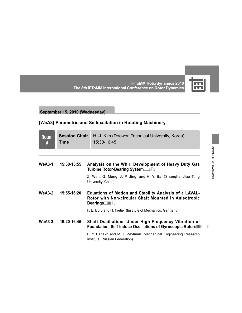

**IFToMM Rotordynamics 2010 The 8th IFToMM International Conference on Rotor Dynamics**

# **September 15, 2010 (Wednesday)**

# **[WeA3] Parametric and Selfexcitation in Rotating Machinery**

| <b>Room</b><br>A | <b>Session Chair</b><br>Time | H.-J. Kim (Doowon Technical University, Korea)<br>15:30-16:45                                                                    |
|------------------|------------------------------|----------------------------------------------------------------------------------------------------------------------------------|
|                  |                              |                                                                                                                                  |
| WeA3-1           | 15:30-15:55                  | Analysis on the Whirl Development of Heavy Duty Gas<br>Turbine Rotor-Bearing System ****** (-                                    |
|                  |                              | Z. Wan, G. Meng, J. P. Jing, and H. Y. Bai (Shanghai Jiao Tong<br>University, China)                                             |
| $WeA3-2$         | 15:55-16:20                  | Equations of Motion and Stability Analysis of a LAVAL-<br>Rotor with Non-circular Shaft Mounted in Anisotropic                   |
|                  |                              | F. E. Boru and H. Irretier (Institute of Mechanics, Germany)                                                                     |
| $WeA3-3$         | 16:20-16:45                  | <b>Shaft Oscillations Under High-Frequency Vibration of</b><br><b>Foundation. Self-Induce Oscillations of Gyroscopic Rotors'</b> |
|                  |                              | L. Y. Banakh and M. F. Zeytman (Mechanical Engineering Research<br>Institute, Russian Federation)                                |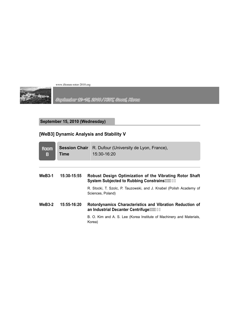

September 12-15, 2010 / KIST, Seoul, Korea

**September 15, 2010 (Wednesday)**

# **[WeB3] Dynamic Analysis and Stability V**

| <b>Room</b><br>B | <b>Session Chair</b><br>Time | R. Dufour (University de Lyon, France),<br>15:30-16:20                                                  |
|------------------|------------------------------|---------------------------------------------------------------------------------------------------------|
|                  |                              |                                                                                                         |
| <b>WeB3-1</b>    | 15:30-15:55                  | Robust Design Optimization of the Vibrating Rotor Shaft<br>System Subjected to Rubbing Constrains ***** |
|                  |                              | R. Stocki, T. Szolc, P. Tauzowski, and J. Knabel (Polish Academy of<br>Sciences, Poland)                |
| $WeB3-2$         | 15:55-16:20                  | Rotordynamics Characteristics and Vibration Reduction of<br>an Industrial Decanter Centrifuge           |
|                  |                              | B. O. Kim and A. S. Lee (Korea Institute of Machinery and Materials,<br>Korea)                          |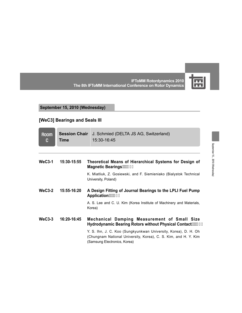

September 15 , 2010 (Wednesday)

September 15, 2010 (Wednesday)

**IFToMM Rotordynamics 2010 The 8th IFToMM International Conference on Rotor Dynamics**

#### **September 15, 2010 (Wednesday)**

# **[WeC3] Bearings and Seals III**

| <b>Room</b><br>C | <b>Session Chair</b><br>Time | J. Schmied (DELTA JS AG, Switzerland)<br>15:30-16:45                                                                                                               |
|------------------|------------------------------|--------------------------------------------------------------------------------------------------------------------------------------------------------------------|
| $WeC3-1$         | 15:30-15:55                  | Theoretical Means of Hierarchical Systems for Design of                                                                                                            |
|                  |                              | K. Miatliuk, Z. Gosiewski, and F. Siemieniako (Bialystok Technical<br>University, Poland)                                                                          |
| $WeC3-2$         | $15:55-16:20$                | A Design Fitting of Journal Bearings to the LPLI Fuel Pump<br>Application                                                                                          |
|                  |                              | A. S. Lee and C. U. Kim (Korea Institute of Machinery and Materials,<br>Korea)                                                                                     |
| $WeC3-3$         | 16:20-16:45                  | Mechanical Damping Measurement of Small Size<br>Hydrodynamic Bearing Rotors without Physical Contact                                                               |
|                  |                              | Y. S. Ihn, J. C. Koo (Sungkyunkwan University, Korea), D. H. Oh<br>(Chungnam National University, Korea), C. S. Kim, and H. Y. Kim<br>(Samsung Electronics, Korea) |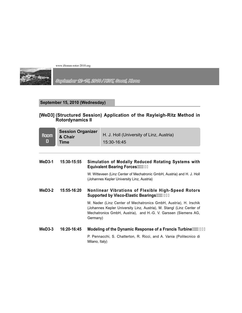

September 12×15, 2010 / KIST, Seoul, Korea

#### **September 15, 2010 (Wednesday)**

#### **[WeD3] (Structured Session) Application of the Rayleigh-Ritz Method in Rotordynamics II**

| <b>Room</b><br>D | <b>Session Organizer</b><br>& Chair<br>Time |                                                                                                 | H. J. Holl (University of Linz, Austria)<br>15:30-16:45                                                                                                                                                     |
|------------------|---------------------------------------------|-------------------------------------------------------------------------------------------------|-------------------------------------------------------------------------------------------------------------------------------------------------------------------------------------------------------------|
| $WeD3-1$         | 15:30-15:55                                 |                                                                                                 | Simulation of Modally Reduced Rotating Systems with<br><b>Equivalent Bearing Forces </b> *                                                                                                                  |
|                  |                                             |                                                                                                 | W. Witteveen (Linz Center of Mechatronic GmbH, Austria) and H. J. Holl<br>(Johannes Kepler University Linz, Austria)                                                                                        |
| $WeD3-2$         | 15:55-16:20                                 | Nonlinear Vibrations of Flexible High-Speed Rotors<br>Supported by Visco-Elastic Bearings  %\$% |                                                                                                                                                                                                             |
|                  |                                             | Germany)                                                                                        | M. Nader (Linz Center of Mechatronics GmbH, Austria), H. Irschik<br>(Johannes Kepler University Linz, Austria), M. Stangl (Linz Center of<br>Mechatronics GmbH, Austria), and H.-G. V. Garssen (Siemens AG, |
| $WeD3-3$         | 16:20-16:45                                 |                                                                                                 | Modeling of the Dynamic Response of a Francis Turbine  "%\$-                                                                                                                                                |
|                  |                                             | Milano, Italy)                                                                                  | P. Pennacchi, S. Chatterton, R. Ricci, and A. Vania (Politecnico di                                                                                                                                         |
|                  |                                             |                                                                                                 |                                                                                                                                                                                                             |